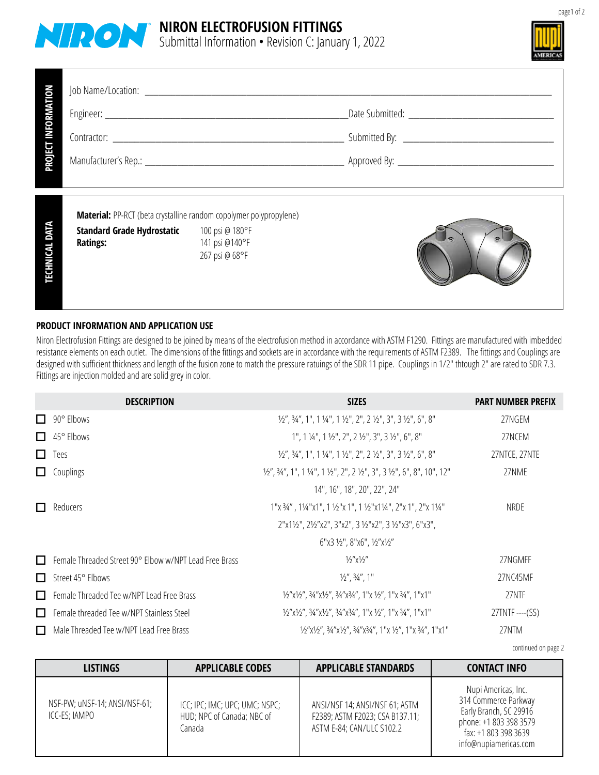



| PROJECT INFORMATION   |                                                                    |                                                     |  |
|-----------------------|--------------------------------------------------------------------|-----------------------------------------------------|--|
|                       |                                                                    |                                                     |  |
|                       |                                                                    |                                                     |  |
|                       |                                                                    |                                                     |  |
|                       | Material: PP-RCT (beta crystalline random copolymer polypropylene) |                                                     |  |
| <b>TECHNICAL DATA</b> | <b>Standard Grade Hydrostatic</b><br><b>Ratings:</b>               | 100 psi @ 180°F<br>141 psi @140°F<br>267 psi @ 68°F |  |

## **PRODUCT INFORMATION AND APPLICATION USE**

Niron Electrofusion Fittings are designed to be joined by means of the electrofusion method in accordance with ASTM F1290. Fittings are manufactured with imbedded resistance elements on each outlet. The dimensions of the fittings and sockets are in accordance with the requirements of ASTM F2389. The fittings and Couplings are are in accordance with the requirements of ASTM F2389. Th designed with sufficient thickness and length of the fusion zone to match the pressure ratuings of the SDR 11 pipe. Couplings in 1/2" thtough 2" are rated to SDR 7.3. Fittings are injection molded and are solid grey in color.

|              | <b>DESCRIPTION</b>                                     | <b>SIZES</b>                                                                                                                                                                                                                                                                                  | <b>PART NUMBER PREFIX</b> |
|--------------|--------------------------------------------------------|-----------------------------------------------------------------------------------------------------------------------------------------------------------------------------------------------------------------------------------------------------------------------------------------------|---------------------------|
| $\Box$       | 90° Elbows                                             | 1/2", 3/4", 1", 1 1/4", 1 1/2", 2", 2 1/2", 3", 3 1/2", 6", 8"                                                                                                                                                                                                                                | 27NGEM                    |
| П            | 45° Elbows                                             | $1", 1 \frac{1}{4", 1} \frac{1}{2", 2", 2 \frac{1}{2", 3", 3}, 3 \frac{1}{2", 6", 8"$                                                                                                                                                                                                         | 27NCEM                    |
| $\mathbf{I}$ | Tees                                                   | $\frac{1}{2}$ , $\frac{3}{4}$ , $\frac{4}{1}$ , $\frac{1}{4}$ , $\frac{1}{4}$ , $\frac{1}{2}$ , $\frac{1}{2}$ , $\frac{1}{2}$ , $\frac{1}{2}$ , $\frac{1}{2}$ , $\frac{1}{2}$ , $\frac{1}{2}$ , $\frac{1}{2}$ , $\frac{1}{2}$ , $\frac{1}{2}$ , $\frac{1}{2}$ , $\frac{1}{2}$                 | 27NTCE, 27NTE             |
|              | Couplings                                              | $\frac{1}{2}$ , $\frac{3}{4}$ , $\frac{4}{1}$ , $\frac{1}{4}$ , $\frac{1}{4}$ , $\frac{1}{2}$ , $\frac{1}{2}$ , $\frac{1}{2}$ , $\frac{1}{2}$ , $\frac{1}{2}$ , $\frac{1}{2}$ , $\frac{1}{2}$ , $\frac{1}{2}$ , $\frac{1}{2}$ , $\frac{1}{2}$ , $\frac{1}{2}$ , $\frac{1}{2}$ , $\frac{1}{2}$ | 27NME                     |
|              |                                                        | 14", 16", 18", 20", 22", 24"                                                                                                                                                                                                                                                                  |                           |
|              | <b>Reducers</b>                                        | 1"x 3/4", 11/4"x1", 1 1/2"x 1", 1 1/2"x11/4", 2"x 1", 2"x 11/4"                                                                                                                                                                                                                               | NRDE                      |
|              |                                                        | 2"x11/2", 21/2"x2", 3"x2", 31/2"x2", 31/2"x3", 6"x3",                                                                                                                                                                                                                                         |                           |
|              |                                                        | $6"$ x3 ½", 8"x6", ½"x½"                                                                                                                                                                                                                                                                      |                           |
| П            | Female Threaded Street 90° Elbow w/NPT Lead Free Brass | $\frac{1}{2}$ "x $\frac{1}{2}$ "                                                                                                                                                                                                                                                              | 27NGMFF                   |
| $\Box$       | Street 45° Elbows                                      | $\frac{1}{2}$ , $\frac{3}{4}$ , 1"                                                                                                                                                                                                                                                            | 27NC45MF                  |
| $\Box$       | Female Threaded Tee w/NPT Lead Free Brass              | 1/2"x1/2", 3/4"x1/2", 3/4"x3/4", 1"x 1/2", 1"x 3/4", 1"x1"                                                                                                                                                                                                                                    | 27NTF                     |
| П            | Female threaded Tee w/NPT Stainless Steel              | 1/2"x1/2", 3/4"x1/2", 3/4"x3/4", 1"x 1/2", 1"x 3/4", 1"x1"                                                                                                                                                                                                                                    | 27TNTF ----(SS)           |
| □            | Male Threaded Tee w/NPT Lead Free Brass                | 1/2"x1/2", 3/4"x1/2", 3/4"x3/4", 1"x 1/2", 1"x 3/4", 1"x1"                                                                                                                                                                                                                                    | 27NTM                     |

continued on page 2

| <b>LISTINGS</b>                                | <b>APPLICABLE CODES</b>                                                | <b>APPLICABLE STANDARDS</b>                                                                    | <b>CONTACT INFO</b>                                                                                                                              |
|------------------------------------------------|------------------------------------------------------------------------|------------------------------------------------------------------------------------------------|--------------------------------------------------------------------------------------------------------------------------------------------------|
| NSF-PW; uNSF-14; ANSI/NSF-61;<br>ICC-ES; IAMPO | ICC; IPC; IMC; UPC; UMC; NSPC;<br>HUD; NPC of Canada; NBC of<br>Canada | ANSI/NSF 14; ANSI/NSF 61; ASTM<br>F2389; ASTM F2023; CSA B137.11;<br>ASTM E-84; CAN/ULC S102.2 | Nupi Americas, Inc.<br>314 Commerce Parkway<br>Early Branch, SC 29916<br>phone: +1 803 398 3579<br>fax: +1 803 398 3639<br>info@nupiamericas.com |